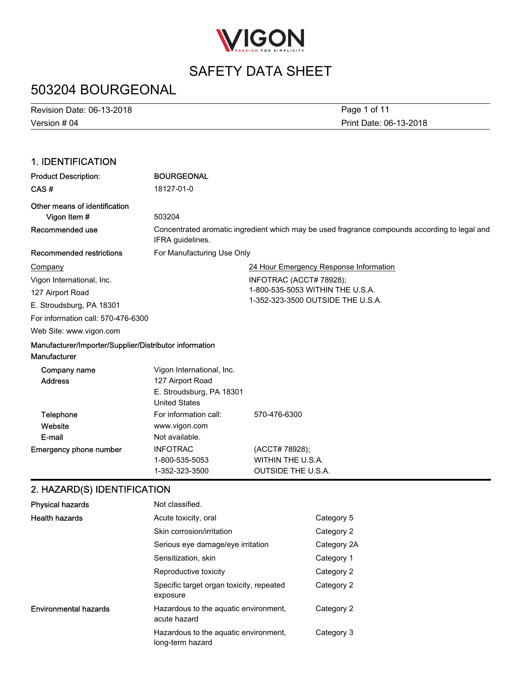

# 503204 BOURGEONAL

Version # 04 Revision Date: 06-13-2018 Print Date: 06-13-2018 Page 1 of 11

### 1. IDENTIFICATION

| <b>Product Description:</b>                                            | <b>BOURGEONAL</b>                                                                                                 |                                                                  |
|------------------------------------------------------------------------|-------------------------------------------------------------------------------------------------------------------|------------------------------------------------------------------|
| CAS#                                                                   | 18127-01-0                                                                                                        |                                                                  |
| Other means of identification<br>Vigon Item #                          | 503204                                                                                                            |                                                                  |
| Recommended use                                                        | Concentrated aromatic ingredient which may be used fragrance compounds according to legal and<br>IFRA guidelines. |                                                                  |
| <b>Recommended restrictions</b>                                        | For Manufacturing Use Only                                                                                        |                                                                  |
| Company                                                                |                                                                                                                   | 24 Hour Emergency Response Information                           |
| Vigon International, Inc.                                              |                                                                                                                   | INFOTRAC (ACCT# 78928);                                          |
| 127 Airport Road                                                       |                                                                                                                   | 1-800-535-5053 WITHIN THE U.S.A.                                 |
| E. Stroudsburg, PA 18301                                               |                                                                                                                   | 1-352-323-3500 OUTSIDE THE U.S.A.                                |
| For information call: 570-476-6300                                     |                                                                                                                   |                                                                  |
| Web Site: www.vigon.com                                                |                                                                                                                   |                                                                  |
| Manufacturer/Importer/Supplier/Distributor information<br>Manufacturer |                                                                                                                   |                                                                  |
| Company name<br><b>Address</b>                                         | Vigon International, Inc.<br>127 Airport Road<br>E. Stroudsburg, PA 18301<br><b>United States</b>                 |                                                                  |
| Telephone<br>Website<br>E-mail                                         | For information call:<br>www.vigon.com<br>Not available.                                                          | 570-476-6300                                                     |
| <b>Emergency phone number</b>                                          | <b>INFOTRAC</b><br>1-800-535-5053<br>1-352-323-3500                                                               | (ACCT# 78928);<br>WITHIN THE U.S.A.<br><b>OUTSIDE THE U.S.A.</b> |
| 2. HAZARD(S) IDENTIFICATION                                            |                                                                                                                   |                                                                  |

| <b>Physical hazards</b>      | Not classified.                                           |             |
|------------------------------|-----------------------------------------------------------|-------------|
| <b>Health hazards</b>        | Acute toxicity, oral                                      | Category 5  |
|                              | Skin corrosion/irritation                                 | Category 2  |
|                              | Serious eye damage/eye irritation                         | Category 2A |
|                              | Sensitization, skin                                       | Category 1  |
|                              | Reproductive toxicity                                     | Category 2  |
|                              | Specific target organ toxicity, repeated<br>exposure      | Category 2  |
| <b>Environmental hazards</b> | Hazardous to the aquatic environment,<br>acute hazard     | Category 2  |
|                              | Hazardous to the aquatic environment,<br>long-term hazard | Category 3  |
|                              |                                                           |             |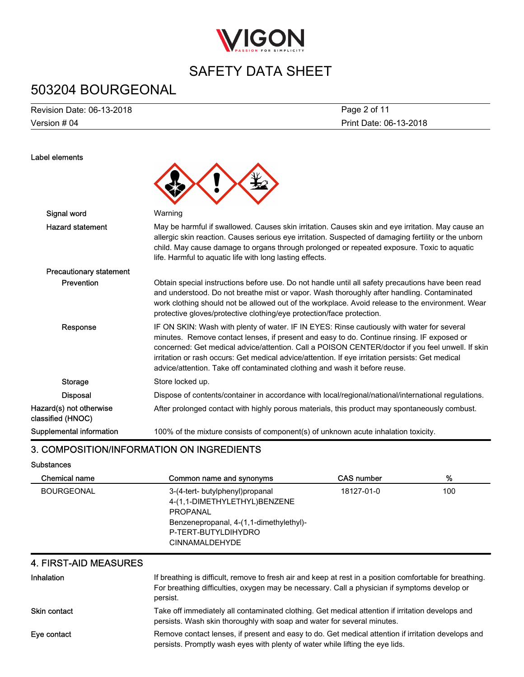

# 503204 BOURGEONAL

Version # 04 Revision Date: 06-13-2018

Label elements

Print Date: 06-13-2018 Page 2 of 11

| Signal word                                  | Warning                                                                                                                                                                                                                                                                                                                                                                                                                                                                        |
|----------------------------------------------|--------------------------------------------------------------------------------------------------------------------------------------------------------------------------------------------------------------------------------------------------------------------------------------------------------------------------------------------------------------------------------------------------------------------------------------------------------------------------------|
| <b>Hazard statement</b>                      | May be harmful if swallowed. Causes skin irritation. Causes skin and eye irritation. May cause an<br>allergic skin reaction. Causes serious eye irritation. Suspected of damaging fertility or the unborn<br>child. May cause damage to organs through prolonged or repeated exposure. Toxic to aquatic<br>life. Harmful to aquatic life with long lasting effects.                                                                                                            |
| <b>Precautionary statement</b>               |                                                                                                                                                                                                                                                                                                                                                                                                                                                                                |
| Prevention                                   | Obtain special instructions before use. Do not handle until all safety precautions have been read<br>and understood. Do not breathe mist or vapor. Wash thoroughly after handling. Contaminated<br>work clothing should not be allowed out of the workplace. Avoid release to the environment. Wear<br>protective gloves/protective clothing/eye protection/face protection.                                                                                                   |
| Response                                     | IF ON SKIN: Wash with plenty of water. IF IN EYES: Rinse cautiously with water for several<br>minutes. Remove contact lenses, if present and easy to do. Continue rinsing. IF exposed or<br>concerned: Get medical advice/attention. Call a POISON CENTER/doctor if you feel unwell. If skin<br>irritation or rash occurs: Get medical advice/attention. If eye irritation persists: Get medical<br>advice/attention. Take off contaminated clothing and wash it before reuse. |
| <b>Storage</b>                               | Store locked up.                                                                                                                                                                                                                                                                                                                                                                                                                                                               |
| <b>Disposal</b>                              | Dispose of contents/container in accordance with local/regional/national/international regulations.                                                                                                                                                                                                                                                                                                                                                                            |
| Hazard(s) not otherwise<br>classified (HNOC) | After prolonged contact with highly porous materials, this product may spontaneously combust.                                                                                                                                                                                                                                                                                                                                                                                  |
| Supplemental information                     | 100% of the mixture consists of component(s) of unknown acute inhalation toxicity.                                                                                                                                                                                                                                                                                                                                                                                             |

### 3. COMPOSITION/INFORMATION ON INGREDIENTS

#### **Substances**

| Chemical name     | Common name and synonyms                                                                                                                                               | <b>CAS number</b> | %   |
|-------------------|------------------------------------------------------------------------------------------------------------------------------------------------------------------------|-------------------|-----|
| <b>BOURGEONAL</b> | 3-(4-tert- butylphenyl)propanal<br>4-(1,1-DIMETHYLETHYL)BENZENE<br>PROPANAL<br>Benzenepropanal, 4-(1,1-dimethylethyl)-<br>P-TERT-BUTYLDIHYDRO<br><b>CINNAMALDEHYDE</b> | 18127-01-0        | 100 |

#### 4. FIRST-AID MEASURES

| Inhalation          | If breathing is difficult, remove to fresh air and keep at rest in a position comfortable for breathing.<br>For breathing difficulties, oxygen may be necessary. Call a physician if symptoms develop or<br>persist. |
|---------------------|----------------------------------------------------------------------------------------------------------------------------------------------------------------------------------------------------------------------|
| <b>Skin contact</b> | Take off immediately all contaminated clothing. Get medical attention if irritation develops and<br>persists. Wash skin thoroughly with soap and water for several minutes.                                          |
| Eye contact         | Remove contact lenses, if present and easy to do. Get medical attention if irritation develops and<br>persists. Promptly wash eyes with plenty of water while lifting the eye lids.                                  |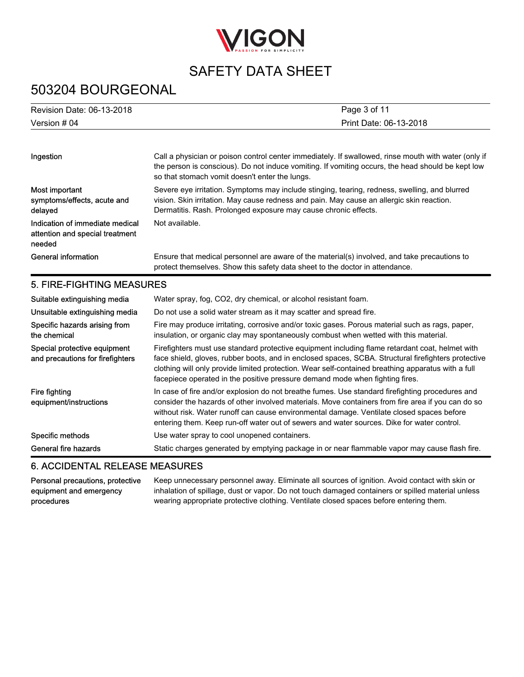

# 503204 BOURGEONAL

| <b>Revision Date: 06-13-2018</b> | Page 3 of 11           |
|----------------------------------|------------------------|
| Version # 04                     | Print Date: 06-13-2018 |

| Ingestion                                                                    | Call a physician or poison control center immediately. If swallowed, rinse mouth with water (only if<br>the person is conscious). Do not induce vomiting. If vomiting occurs, the head should be kept low<br>so that stomach vomit doesn't enter the lungs.   |
|------------------------------------------------------------------------------|---------------------------------------------------------------------------------------------------------------------------------------------------------------------------------------------------------------------------------------------------------------|
| Most important<br>symptoms/effects, acute and<br>delayed                     | Severe eye irritation. Symptoms may include stinging, tearing, redness, swelling, and blurred<br>vision. Skin irritation. May cause redness and pain. May cause an allergic skin reaction.<br>Dermatitis. Rash. Prolonged exposure may cause chronic effects. |
| Indication of immediate medical<br>attention and special treatment<br>needed | Not available.                                                                                                                                                                                                                                                |
| General information                                                          | Ensure that medical personnel are aware of the material(s) involved, and take precautions to<br>protect themselves. Show this safety data sheet to the doctor in attendance.                                                                                  |
| 5. FIRE-FIGHTING MEASURES                                                    |                                                                                                                                                                                                                                                               |
| Suitable extinguishing media                                                 | Water spray, fog, CO2, dry chemical, or alcohol resistant foam.                                                                                                                                                                                               |
| Unsuitable extinguishing media                                               | Do not use a solid water stream as it may scatter and spread fire.                                                                                                                                                                                            |
| Specific hazards arising from<br>the chemical                                | Fire may produce irritating, corrosive and/or toxic gases. Porous material such as rags, paper,<br>insulation, or organic clay may spontaneously combust when wetted with this material.                                                                      |

insulation, or organic clay may spontaneously combust when wetted with this material. Firefighters must use standard protective equipment including flame retardant coat, helmet with face shield, gloves, rubber boots, and in enclosed spaces, SCBA. Structural firefighters protective clothing will only provide limited protection. Wear self-contained breathing apparatus with a full facepiece operated in the positive pressure demand mode when fighting fires. Special protective equipment and precautions for firefighters

In case of fire and/or explosion do not breathe fumes. Use standard firefighting procedures and consider the hazards of other involved materials. Move containers from fire area if you can do so without risk. Water runoff can cause environmental damage. Ventilate closed spaces before entering them. Keep run-off water out of sewers and water sources. Dike for water control. Fire fighting equipment/instructions Specific methods Use water spray to cool unopened containers.

General fire hazards Static charges generated by emptying package in or near flammable vapor may cause flash fire.

### 6. ACCIDENTAL RELEASE MEASURES

Personal precautions, protective equipment and emergency procedures

Keep unnecessary personnel away. Eliminate all sources of ignition. Avoid contact with skin or inhalation of spillage, dust or vapor. Do not touch damaged containers or spilled material unless wearing appropriate protective clothing. Ventilate closed spaces before entering them.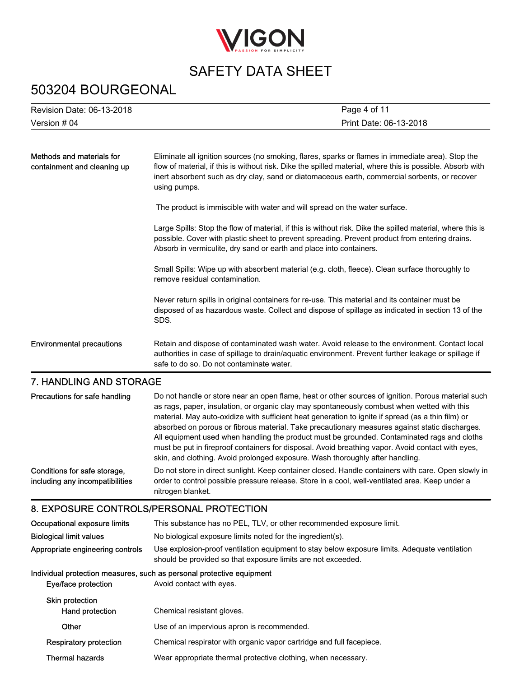

### 503204 BOURGEONAL

| Revision Date: 06-13-2018                                       | Page 4 of 11                                                                                                                                                                                                                                                                                                                                                                                                                                                                                                                                                                                                                                                                                   |
|-----------------------------------------------------------------|------------------------------------------------------------------------------------------------------------------------------------------------------------------------------------------------------------------------------------------------------------------------------------------------------------------------------------------------------------------------------------------------------------------------------------------------------------------------------------------------------------------------------------------------------------------------------------------------------------------------------------------------------------------------------------------------|
|                                                                 |                                                                                                                                                                                                                                                                                                                                                                                                                                                                                                                                                                                                                                                                                                |
| Version # 04                                                    | Print Date: 06-13-2018                                                                                                                                                                                                                                                                                                                                                                                                                                                                                                                                                                                                                                                                         |
|                                                                 |                                                                                                                                                                                                                                                                                                                                                                                                                                                                                                                                                                                                                                                                                                |
| Methods and materials for<br>containment and cleaning up        | Eliminate all ignition sources (no smoking, flares, sparks or flames in immediate area). Stop the<br>flow of material, if this is without risk. Dike the spilled material, where this is possible. Absorb with<br>inert absorbent such as dry clay, sand or diatomaceous earth, commercial sorbents, or recover<br>using pumps.                                                                                                                                                                                                                                                                                                                                                                |
|                                                                 | The product is immiscible with water and will spread on the water surface.                                                                                                                                                                                                                                                                                                                                                                                                                                                                                                                                                                                                                     |
|                                                                 | Large Spills: Stop the flow of material, if this is without risk. Dike the spilled material, where this is<br>possible. Cover with plastic sheet to prevent spreading. Prevent product from entering drains.<br>Absorb in vermiculite, dry sand or earth and place into containers.                                                                                                                                                                                                                                                                                                                                                                                                            |
|                                                                 | Small Spills: Wipe up with absorbent material (e.g. cloth, fleece). Clean surface thoroughly to<br>remove residual contamination.                                                                                                                                                                                                                                                                                                                                                                                                                                                                                                                                                              |
|                                                                 | Never return spills in original containers for re-use. This material and its container must be<br>disposed of as hazardous waste. Collect and dispose of spillage as indicated in section 13 of the<br>SDS.                                                                                                                                                                                                                                                                                                                                                                                                                                                                                    |
| <b>Environmental precautions</b>                                | Retain and dispose of contaminated wash water. Avoid release to the environment. Contact local<br>authorities in case of spillage to drain/aquatic environment. Prevent further leakage or spillage if<br>safe to do so. Do not contaminate water.                                                                                                                                                                                                                                                                                                                                                                                                                                             |
| <b>7. HANDLING AND STORAGE</b>                                  |                                                                                                                                                                                                                                                                                                                                                                                                                                                                                                                                                                                                                                                                                                |
| Precautions for safe handling                                   | Do not handle or store near an open flame, heat or other sources of ignition. Porous material such<br>as rags, paper, insulation, or organic clay may spontaneously combust when wetted with this<br>material. May auto-oxidize with sufficient heat generation to ignite if spread (as a thin film) or<br>absorbed on porous or fibrous material. Take precautionary measures against static discharges.<br>All equipment used when handling the product must be grounded. Contaminated rags and cloths<br>must be put in fireproof containers for disposal. Avoid breathing vapor. Avoid contact with eyes,<br>skin, and clothing. Avoid prolonged exposure. Wash thoroughly after handling. |
| Conditions for safe storage,<br>including any incompatibilities | Do not store in direct sunlight. Keep container closed. Handle containers with care. Open slowly in<br>order to control possible pressure release. Store in a cool, well-ventilated area. Keep under a<br>nitrogen blanket.                                                                                                                                                                                                                                                                                                                                                                                                                                                                    |
| 8. EXPOSURE CONTROLS/PERSONAL PROTECTION                        |                                                                                                                                                                                                                                                                                                                                                                                                                                                                                                                                                                                                                                                                                                |
| Occupational exposure limits                                    | This substance has no PEL, TLV, or other recommended exposure limit.                                                                                                                                                                                                                                                                                                                                                                                                                                                                                                                                                                                                                           |
| <b>Biological limit values</b>                                  | No biological exposure limits noted for the ingredient(s).                                                                                                                                                                                                                                                                                                                                                                                                                                                                                                                                                                                                                                     |
| Appropriate engineering controls                                | Use explosion-proof ventilation equipment to stay below exposure limits. Adequate ventilation<br>should be provided so that exposure limits are not exceeded.                                                                                                                                                                                                                                                                                                                                                                                                                                                                                                                                  |
| Eye/face protection                                             | Individual protection measures, such as personal protective equipment<br>Avoid contact with eyes.                                                                                                                                                                                                                                                                                                                                                                                                                                                                                                                                                                                              |
| Skin protection<br>Hand protection                              | Chemical resistant gloves.                                                                                                                                                                                                                                                                                                                                                                                                                                                                                                                                                                                                                                                                     |

Respiratory protection Chemical respirator with organic vapor cartridge and full facepiece.

Other Use of an impervious apron is recommended.

Thermal hazards Wear appropriate thermal protective clothing, when necessary.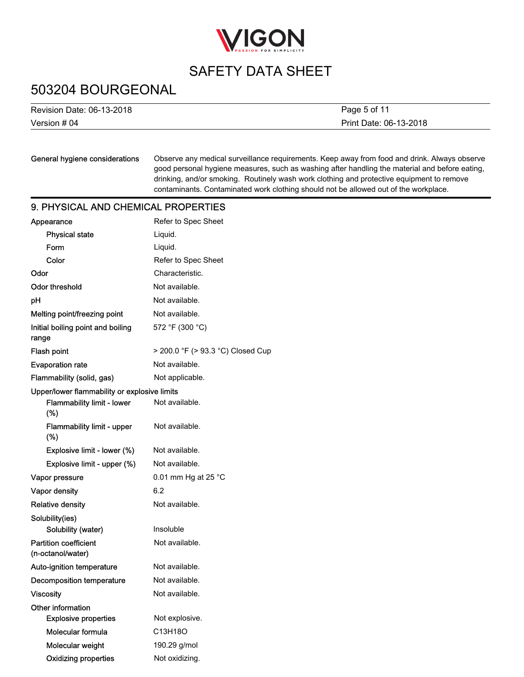

### 503204 BOURGEONAL

| Revision Date: 06-13-2018 | Page 5 of 11           |
|---------------------------|------------------------|
| Version # 04              | Print Date: 06-13-2018 |

#### General hygiene considerations

Observe any medical surveillance requirements. Keep away from food and drink. Always observe good personal hygiene measures, such as washing after handling the material and before eating, drinking, and/or smoking. Routinely wash work clothing and protective equipment to remove contaminants. Contaminated work clothing should not be allowed out of the workplace.

### 9. PHYSICAL AND CHEMICAL PROPERTIES

| Appearance                                        | Refer to Spec Sheet               |
|---------------------------------------------------|-----------------------------------|
| <b>Physical state</b>                             | Liquid.                           |
| Form                                              | Liquid.                           |
| Color                                             | Refer to Spec Sheet               |
| Odor                                              | Characteristic.                   |
| <b>Odor threshold</b>                             | Not available.                    |
| pH                                                | Not available.                    |
| Melting point/freezing point                      | Not available.                    |
| Initial boiling point and boiling<br>range        | 572 °F (300 °C)                   |
| Flash point                                       | > 200.0 °F (> 93.3 °C) Closed Cup |
| <b>Evaporation rate</b>                           | Not available.                    |
| Flammability (solid, gas)                         | Not applicable.                   |
| Upper/lower flammability or explosive limits      |                                   |
| Flammability limit - lower<br>(%)                 | Not available.                    |
| Flammability limit - upper<br>(%)                 | Not available.                    |
| Explosive limit - lower (%)                       | Not available.                    |
| Explosive limit - upper (%)                       | Not available.                    |
| Vapor pressure                                    | 0.01 mm Hg at 25 °C               |
| Vapor density                                     | 6.2                               |
| <b>Relative density</b>                           | Not available.                    |
| Solubility(ies)                                   |                                   |
| Solubility (water)                                | Insoluble                         |
| <b>Partition coefficient</b><br>(n-octanol/water) | Not available.                    |
| Auto-ignition temperature                         | Not available.                    |
| Decomposition temperature                         | Not available.                    |
| <b>Viscosity</b>                                  | Not available.                    |
| Other information                                 |                                   |
| <b>Explosive properties</b>                       | Not explosive.                    |
| Molecular formula                                 | C13H18O                           |
| Molecular weight                                  | 190.29 g/mol                      |
| <b>Oxidizing properties</b>                       | Not oxidizing.                    |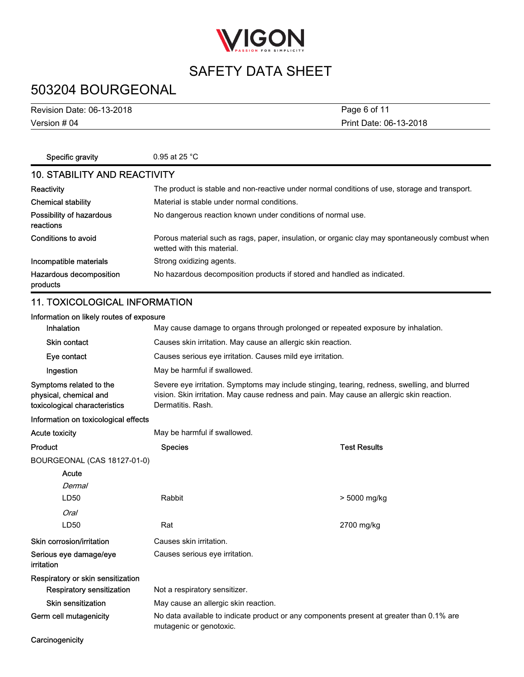

# 503204 BOURGEONAL

Version # 04 Revision Date: 06-13-2018

Print Date: 06-13-2018 Page 6 of 11

| Specific gravity                      | 0.95 at 25 $^{\circ}$ C                                                                                                       |  |
|---------------------------------------|-------------------------------------------------------------------------------------------------------------------------------|--|
| <b>10. STABILITY AND REACTIVITY</b>   |                                                                                                                               |  |
| Reactivity                            | The product is stable and non-reactive under normal conditions of use, storage and transport.                                 |  |
| <b>Chemical stability</b>             | Material is stable under normal conditions.                                                                                   |  |
| Possibility of hazardous<br>reactions | No dangerous reaction known under conditions of normal use.                                                                   |  |
| Conditions to avoid                   | Porous material such as rags, paper, insulation, or organic clay may spontaneously combust when<br>wetted with this material. |  |
| Incompatible materials                | Strong oxidizing agents.                                                                                                      |  |
| Hazardous decomposition<br>products   | No hazardous decomposition products if stored and handled as indicated.                                                       |  |

### 11. TOXICOLOGICAL INFORMATION

| Information on likely routes of exposure                                           |                                                                                                                                                                                                                 |
|------------------------------------------------------------------------------------|-----------------------------------------------------------------------------------------------------------------------------------------------------------------------------------------------------------------|
| <b>Inhalation</b>                                                                  | May cause damage to organs through prolonged or repeated exposure by inhalation.                                                                                                                                |
| <b>Skin contact</b>                                                                | Causes skin irritation. May cause an allergic skin reaction.                                                                                                                                                    |
| Eye contact                                                                        | Causes serious eye irritation. Causes mild eye irritation.                                                                                                                                                      |
| Ingestion                                                                          | May be harmful if swallowed.                                                                                                                                                                                    |
| Symptoms related to the<br>physical, chemical and<br>toxicological characteristics | Severe eye irritation. Symptoms may include stinging, tearing, redness, swelling, and blurred<br>vision. Skin irritation. May cause redness and pain. May cause an allergic skin reaction.<br>Dermatitis, Rash. |
| .                                                                                  |                                                                                                                                                                                                                 |

#### Information on toxicological effects

Acute toxicity **May be harmful if swallowed.** 

| Product                              | <b>Species</b>                                                                                                      | Test Results |
|--------------------------------------|---------------------------------------------------------------------------------------------------------------------|--------------|
| BOURGEONAL (CAS 18127-01-0)          |                                                                                                                     |              |
| Acute                                |                                                                                                                     |              |
| Dermal                               |                                                                                                                     |              |
| LD50                                 | Rabbit                                                                                                              | > 5000 mg/kg |
| Oral                                 |                                                                                                                     |              |
| LD50                                 | Rat                                                                                                                 | 2700 mg/kg   |
| Skin corrosion/irritation            | Causes skin irritation.                                                                                             |              |
| Serious eye damage/eye<br>irritation | Causes serious eye irritation.                                                                                      |              |
| Respiratory or skin sensitization    |                                                                                                                     |              |
| <b>Respiratory sensitization</b>     | Not a respiratory sensitizer.                                                                                       |              |
| <b>Skin sensitization</b>            | May cause an allergic skin reaction.                                                                                |              |
| Germ cell mutagenicity               | No data available to indicate product or any components present at greater than 0.1% are<br>mutagenic or genotoxic. |              |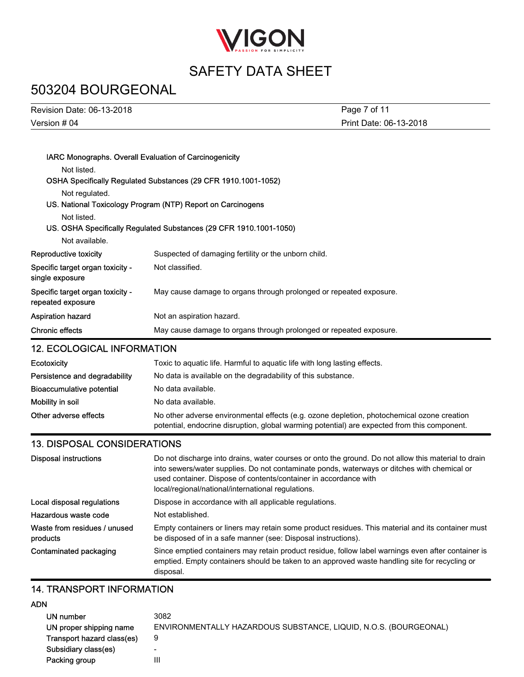

# 503204 BOURGEONAL

| Revision Date: 06-13-2018 | Page 7 of 11           |
|---------------------------|------------------------|
| Version # 04              | Print Date: 06-13-2018 |

| IARC Monographs. Overall Evaluation of Carcinogenicity |                                                                           |  |
|--------------------------------------------------------|---------------------------------------------------------------------------|--|
| Not listed.                                            |                                                                           |  |
|                                                        | OSHA Specifically Regulated Substances (29 CFR 1910.1001-1052)            |  |
| Not regulated.                                         |                                                                           |  |
|                                                        | US. National Toxicology Program (NTP) Report on Carcinogens               |  |
| Not listed.                                            |                                                                           |  |
|                                                        | US. OSHA Specifically Regulated Substances (29 CFR 1910.1001-1050)        |  |
| Not available.                                         |                                                                           |  |
| Reproductive toxicity                                  | Suspected of damaging fertility or the unborn child.                      |  |
| Specific target organ toxicity -<br>single exposure    | Not classified.                                                           |  |
| Specific target organ toxicity -<br>repeated exposure  | May cause damage to organs through prolonged or repeated exposure.        |  |
| Aspiration hazard                                      | Not an aspiration hazard.                                                 |  |
| Chronic effects                                        | May cause damage to organs through prolonged or repeated exposure.        |  |
| <b>12. ECOLOGICAL INFORMATION</b>                      |                                                                           |  |
| <b>Ecotoxicity</b>                                     | Toxic to aquatic life. Harmful to aquatic life with long lasting effects. |  |

| Persistence and degradability | No data is available on the degradability of this substance.                                                                                                                               |
|-------------------------------|--------------------------------------------------------------------------------------------------------------------------------------------------------------------------------------------|
| Bioaccumulative potential     | No data available.                                                                                                                                                                         |
| Mobility in soil              | No data available.                                                                                                                                                                         |
| Other adverse effects         | No other adverse environmental effects (e.g. ozone depletion, photochemical ozone creation<br>potential, endocrine disruption, global warming potential) are expected from this component. |

### 13. DISPOSAL CONSIDERATIONS

| <b>Disposal instructions</b>             | Do not discharge into drains, water courses or onto the ground. Do not allow this material to drain<br>into sewers/water supplies. Do not contaminate ponds, waterways or ditches with chemical or<br>used container. Dispose of contents/container in accordance with<br>local/regional/national/international regulations. |
|------------------------------------------|------------------------------------------------------------------------------------------------------------------------------------------------------------------------------------------------------------------------------------------------------------------------------------------------------------------------------|
| Local disposal regulations               | Dispose in accordance with all applicable regulations.                                                                                                                                                                                                                                                                       |
| Hazardous waste code                     | Not established.                                                                                                                                                                                                                                                                                                             |
| Waste from residues / unused<br>products | Empty containers or liners may retain some product residues. This material and its container must<br>be disposed of in a safe manner (see: Disposal instructions).                                                                                                                                                           |
| Contaminated packaging                   | Since emptied containers may retain product residue, follow label warnings even after container is<br>emptied. Empty containers should be taken to an approved waste handling site for recycling or<br>disposal.                                                                                                             |

### 14. TRANSPORT INFORMATION

### ADN

| UN number                  | 3082                                                             |
|----------------------------|------------------------------------------------------------------|
| UN proper shipping name    | ENVIRONMENTALLY HAZARDOUS SUBSTANCE, LIQUID, N.O.S. (BOURGEONAL) |
| Transport hazard class(es) | 9                                                                |
| Subsidiary class(es)       | -                                                                |
| Packing group              | Ш                                                                |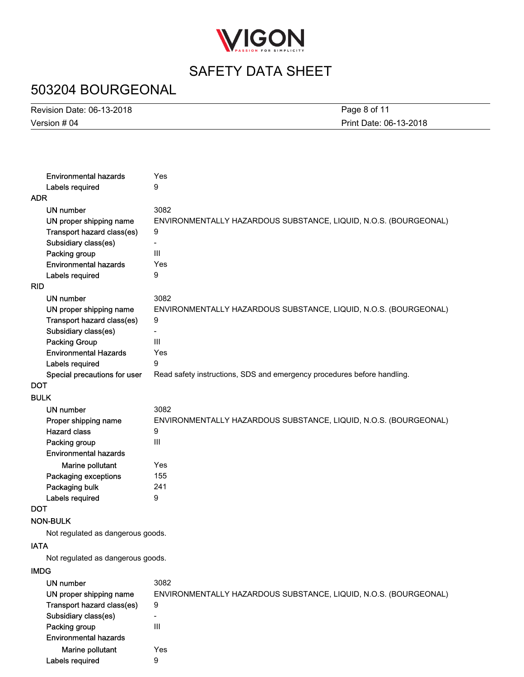

# 503204 BOURGEONAL

| <b>Revision Date: 06-13-2018</b> | Page 8 of 11           |
|----------------------------------|------------------------|
| Version # 04                     | Print Date: 06-13-2018 |

| <b>Environmental hazards</b>      | Yes                                                                     |
|-----------------------------------|-------------------------------------------------------------------------|
| Labels required                   | 9                                                                       |
| ADR                               |                                                                         |
| <b>UN number</b>                  | 3082                                                                    |
| UN proper shipping name           | ENVIRONMENTALLY HAZARDOUS SUBSTANCE, LIQUID, N.O.S. (BOURGEONAL)        |
| Transport hazard class(es)        | 9                                                                       |
| Subsidiary class(es)              |                                                                         |
| Packing group                     | III                                                                     |
| <b>Environmental hazards</b>      | Yes                                                                     |
| Labels required                   | 9                                                                       |
| RID                               |                                                                         |
| UN number                         | 3082                                                                    |
| UN proper shipping name           | ENVIRONMENTALLY HAZARDOUS SUBSTANCE, LIQUID, N.O.S. (BOURGEONAL)        |
| Transport hazard class(es)        | 9                                                                       |
| Subsidiary class(es)              |                                                                         |
| <b>Packing Group</b>              | III                                                                     |
| <b>Environmental Hazards</b>      | Yes                                                                     |
| Labels required                   | 9                                                                       |
| Special precautions for user      | Read safety instructions, SDS and emergency procedures before handling. |
| DOT                               |                                                                         |
| <b>BULK</b>                       |                                                                         |
| UN number                         | 3082                                                                    |
| Proper shipping name              | ENVIRONMENTALLY HAZARDOUS SUBSTANCE, LIQUID, N.O.S. (BOURGEONAL)        |
| <b>Hazard class</b>               | 9                                                                       |
| Packing group                     | III                                                                     |
| <b>Environmental hazards</b>      |                                                                         |
| Marine pollutant                  | Yes                                                                     |
| Packaging exceptions              | 155                                                                     |
| Packaging bulk                    | 241                                                                     |
| Labels required                   | 9                                                                       |
| DOT                               |                                                                         |
| NON-BULK                          |                                                                         |
| Not regulated as dangerous goods. |                                                                         |
| <b>IATA</b>                       |                                                                         |
| Not regulated as dangerous goods. |                                                                         |
| <b>IMDG</b>                       |                                                                         |
| UN number                         | 3082                                                                    |
| UN proper shipping name           | ENVIRONMENTALLY HAZARDOUS SUBSTANCE, LIQUID, N.O.S. (BOURGEONAL)        |
| Transport hazard class(es)        | 9                                                                       |
| Subsidiary class(es)              | $\overline{\phantom{a}}$                                                |
| Packing group                     | III                                                                     |
| <b>Environmental hazards</b>      |                                                                         |
|                                   |                                                                         |

Marine pollutant Yes

Labels required 9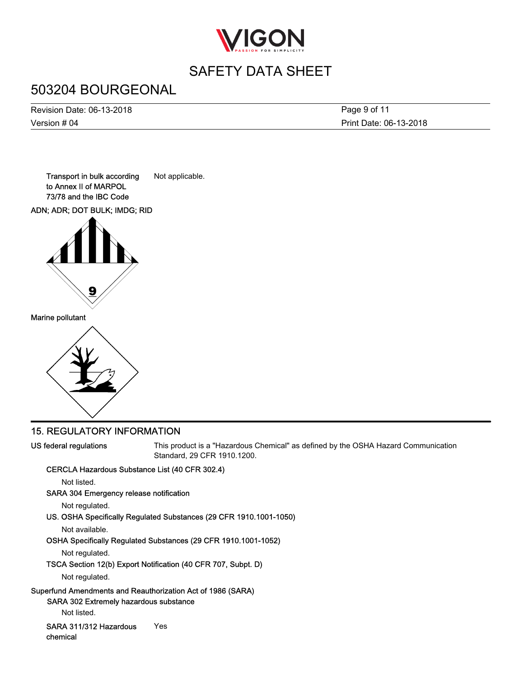

# 503204 BOURGEONAL

Version # 04 Revision Date: 06-13-2018 Print Date: 06-13-2018 Page 9 of 11

Transport in bulk according Not applicable. to Annex II of MARPOL 73/78 and the IBC Code

ADN; ADR; DOT BULK; IMDG; RID



Marine pollutant



### 15. REGULATORY INFORMATION

US federal regulations

This product is a "Hazardous Chemical" as defined by the OSHA Hazard Communication Standard, 29 CFR 1910.1200.

#### CERCLA Hazardous Substance List (40 CFR 302.4)

Not listed.

### SARA 304 Emergency release notification

Not regulated.

### US. OSHA Specifically Regulated Substances (29 CFR 1910.1001-1050)

Not available.

### OSHA Specifically Regulated Substances (29 CFR 1910.1001-1052)

Not regulated.

### TSCA Section 12(b) Export Notification (40 CFR 707, Subpt. D)

Not regulated.

### Superfund Amendments and Reauthorization Act of 1986 (SARA)

SARA 302 Extremely hazardous substance

Not listed.

SARA 311/312 Hazardous Yes chemical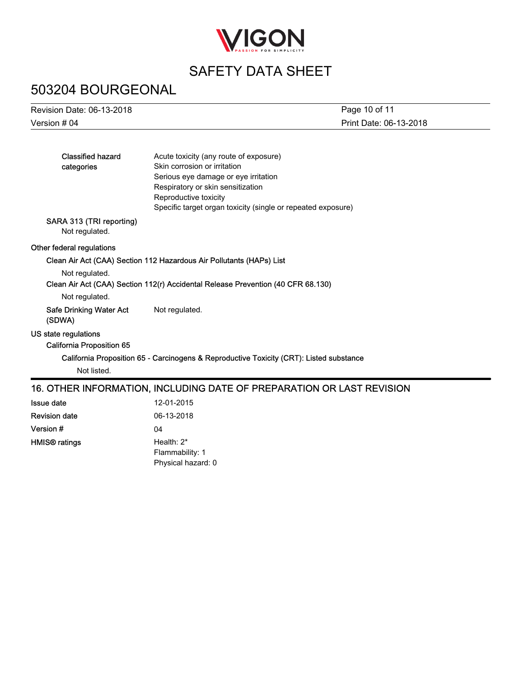

# 503204 BOURGEONAL

| Revision Date: 06-13-2018                  |                                                                                         | Page 10 of 11          |
|--------------------------------------------|-----------------------------------------------------------------------------------------|------------------------|
| Version # 04                               |                                                                                         | Print Date: 06-13-2018 |
|                                            |                                                                                         |                        |
| <b>Classified hazard</b>                   | Acute toxicity (any route of exposure)                                                  |                        |
| categories                                 | Skin corrosion or irritation                                                            |                        |
|                                            | Serious eye damage or eye irritation                                                    |                        |
|                                            | Respiratory or skin sensitization                                                       |                        |
|                                            | Reproductive toxicity                                                                   |                        |
|                                            | Specific target organ toxicity (single or repeated exposure)                            |                        |
| SARA 313 (TRI reporting)<br>Not regulated. |                                                                                         |                        |
| Other federal regulations                  |                                                                                         |                        |
|                                            | Clean Air Act (CAA) Section 112 Hazardous Air Pollutants (HAPs) List                    |                        |
| Not regulated.                             |                                                                                         |                        |
|                                            | Clean Air Act (CAA) Section 112(r) Accidental Release Prevention (40 CFR 68.130)        |                        |
| Not regulated.                             |                                                                                         |                        |
| <b>Safe Drinking Water Act</b><br>(SDWA)   | Not regulated.                                                                          |                        |
| US state regulations                       |                                                                                         |                        |
| <b>California Proposition 65</b>           |                                                                                         |                        |
|                                            | California Proposition 65 - Carcinogens & Reproductive Toxicity (CRT): Listed substance |                        |
| Not listed.                                |                                                                                         |                        |
|                                            | 16. OTHER INFORMATION, INCLUDING DATE OF PREPARATION OR LAST REVISION                   |                        |
| <b>Issue date</b>                          | 12-01-2015                                                                              |                        |
| <b>Revision date</b>                       | 06-13-2018                                                                              |                        |
| Version #                                  | 04                                                                                      |                        |
| <b>HMIS®</b> ratings                       | Health: 2*                                                                              |                        |

Flammability: 1 Physical hazard: 0